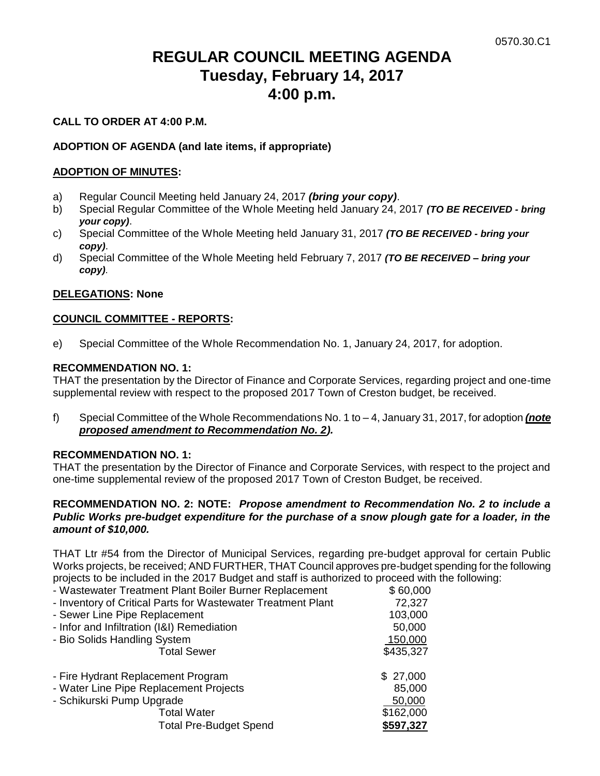# **REGULAR COUNCIL MEETING AGENDA Tuesday, February 14, 2017 4:00 p.m.**

#### **CALL TO ORDER AT 4:00 P.M.**

### **ADOPTION OF AGENDA (and late items, if appropriate)**

#### **ADOPTION OF MINUTES:**

- a) Regular Council Meeting held January 24, 2017 *(bring your copy)*.
- b) Special Regular Committee of the Whole Meeting held January 24, 2017 *(TO BE RECEIVED - bring your copy)*.
- c) Special Committee of the Whole Meeting held January 31, 2017 *(TO BE RECEIVED - bring your copy)*.
- d) Special Committee of the Whole Meeting held February 7, 2017 *(TO BE RECEIVED – bring your copy)*.

#### **DELEGATIONS: None**

#### **COUNCIL COMMITTEE - REPORTS:**

e) Special Committee of the Whole Recommendation No. 1, January 24, 2017, for adoption.

#### **RECOMMENDATION NO. 1:**

THAT the presentation by the Director of Finance and Corporate Services, regarding project and one-time supplemental review with respect to the proposed 2017 Town of Creston budget, be received.

f) Special Committee of the Whole Recommendations No. 1 to – 4, January 31, 2017, for adoption *(note proposed amendment to Recommendation No. 2).*

#### **RECOMMENDATION NO. 1:**

THAT the presentation by the Director of Finance and Corporate Services, with respect to the project and one-time supplemental review of the proposed 2017 Town of Creston Budget, be received.

#### **RECOMMENDATION NO. 2: NOTE:** *Propose amendment to Recommendation No. 2 to include a Public Works pre-budget expenditure for the purchase of a snow plough gate for a loader, in the amount of \$10,000.*

THAT Ltr #54 from the Director of Municipal Services, regarding pre-budget approval for certain Public Works projects, be received; AND FURTHER, THAT Council approves pre-budget spending for the following projects to be included in the 2017 Budget and staff is authorized to proceed with the following:<br>- Wastewater Treatment Plant Boiler Burner Replacement \$60,000

| . . |                                                        |          |
|-----|--------------------------------------------------------|----------|
|     | - Wastewater Treatment Plant Boiler Burner Replacement | \$60,000 |

| v vv.vvc  |
|-----------|
| 72,327    |
| 103,000   |
| 50,000    |
| 150,000   |
| \$435,327 |
| \$27,000  |
| 85,000    |
| 50,000    |
| \$162,000 |
| \$597,327 |
|           |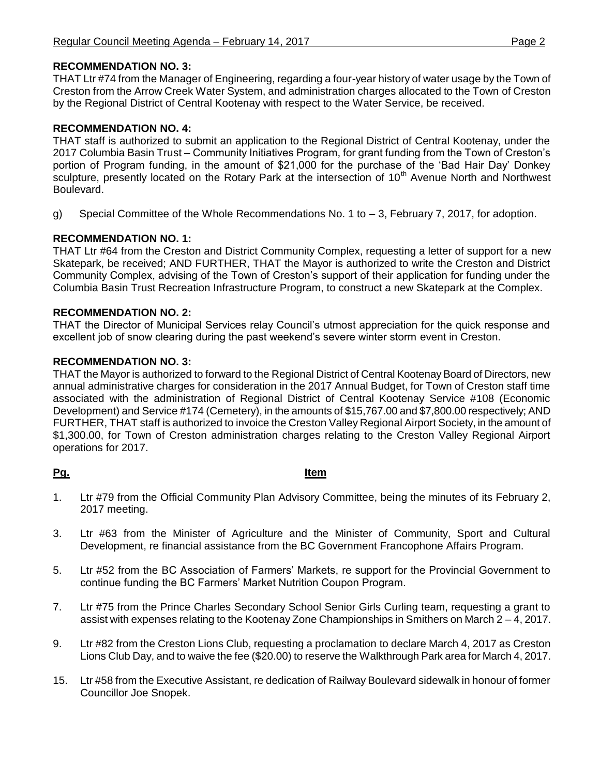## **RECOMMENDATION NO. 3:**

THAT Ltr #74 from the Manager of Engineering, regarding a four-year history of water usage by the Town of Creston from the Arrow Creek Water System, and administration charges allocated to the Town of Creston by the Regional District of Central Kootenay with respect to the Water Service, be received.

# **RECOMMENDATION NO. 4:**

THAT staff is authorized to submit an application to the Regional District of Central Kootenay, under the 2017 Columbia Basin Trust – Community Initiatives Program, for grant funding from the Town of Creston's portion of Program funding, in the amount of \$21,000 for the purchase of the 'Bad Hair Day' Donkey sculpture, presently located on the Rotary Park at the intersection of 10<sup>th</sup> Avenue North and Northwest Boulevard.

g) Special Committee of the Whole Recommendations No. 1 to  $-3$ , February 7, 2017, for adoption.

# **RECOMMENDATION NO. 1:**

THAT Ltr #64 from the Creston and District Community Complex, requesting a letter of support for a new Skatepark, be received; AND FURTHER, THAT the Mayor is authorized to write the Creston and District Community Complex, advising of the Town of Creston's support of their application for funding under the Columbia Basin Trust Recreation Infrastructure Program, to construct a new Skatepark at the Complex.

## **RECOMMENDATION NO. 2:**

THAT the Director of Municipal Services relay Council's utmost appreciation for the quick response and excellent job of snow clearing during the past weekend's severe winter storm event in Creston.

#### **RECOMMENDATION NO. 3:**

THAT the Mayor is authorized to forward to the Regional District of Central Kootenay Board of Directors, new annual administrative charges for consideration in the 2017 Annual Budget, for Town of Creston staff time associated with the administration of Regional District of Central Kootenay Service #108 (Economic Development) and Service #174 (Cemetery), in the amounts of \$15,767.00 and \$7,800.00 respectively; AND FURTHER, THAT staff is authorized to invoice the Creston Valley Regional Airport Society, in the amount of \$1,300.00, for Town of Creston administration charges relating to the Creston Valley Regional Airport operations for 2017.

## **Pg. Item**

- 1. Ltr #79 from the Official Community Plan Advisory Committee, being the minutes of its February 2, 2017 meeting.
- 3. Ltr #63 from the Minister of Agriculture and the Minister of Community, Sport and Cultural Development, re financial assistance from the BC Government Francophone Affairs Program.
- 5. Ltr #52 from the BC Association of Farmers' Markets, re support for the Provincial Government to continue funding the BC Farmers' Market Nutrition Coupon Program.
- 7. Ltr #75 from the Prince Charles Secondary School Senior Girls Curling team, requesting a grant to assist with expenses relating to the Kootenay Zone Championships in Smithers on March 2 – 4, 2017.
- 9. Ltr #82 from the Creston Lions Club, requesting a proclamation to declare March 4, 2017 as Creston Lions Club Day, and to waive the fee (\$20.00) to reserve the Walkthrough Park area for March 4, 2017.
- 15. Ltr #58 from the Executive Assistant, re dedication of Railway Boulevard sidewalk in honour of former Councillor Joe Snopek.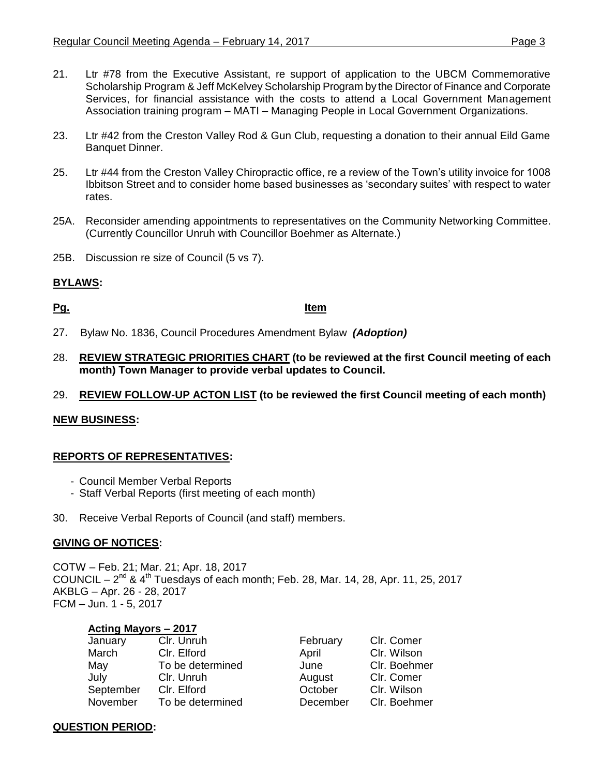- 21. Ltr #78 from the Executive Assistant, re support of application to the UBCM Commemorative Scholarship Program & Jeff McKelvey Scholarship Program by the Director of Finance and Corporate Services, for financial assistance with the costs to attend a Local Government Management Association training program – MATI – Managing People in Local Government Organizations.
- 23. Ltr #42 from the Creston Valley Rod & Gun Club, requesting a donation to their annual Eild Game Banquet Dinner.
- 25. Ltr #44 from the Creston Valley Chiropractic office, re a review of the Town's utility invoice for 1008 Ibbitson Street and to consider home based businesses as 'secondary suites' with respect to water rates.
- 25A. Reconsider amending appointments to representatives on the Community Networking Committee. (Currently Councillor Unruh with Councillor Boehmer as Alternate.)
- 25B. Discussion re size of Council (5 vs 7).

## **BYLAWS:**

**Pg. Item**

- 27. Bylaw No. 1836, Council Procedures Amendment Bylaw *(Adoption)*
- 28. **REVIEW STRATEGIC PRIORITIES CHART (to be reviewed at the first Council meeting of each month) Town Manager to provide verbal updates to Council.**
- 29. **REVIEW FOLLOW-UP ACTON LIST (to be reviewed the first Council meeting of each month)**

#### **NEW BUSINESS:**

#### **REPORTS OF REPRESENTATIVES:**

- Council Member Verbal Reports
- Staff Verbal Reports (first meeting of each month)
- 30. Receive Verbal Reports of Council (and staff) members.

#### **GIVING OF NOTICES:**

COTW – Feb. 21; Mar. 21; Apr. 18, 2017 COUNCIL –  $2^{nd}$  & 4<sup>th</sup> Tuesdays of each month; Feb. 28, Mar. 14, 28, Apr. 11, 25, 2017 AKBLG – Apr. 26 - 28, 2017 FCM – Jun. 1 - 5, 2017

#### **Acting Mayors – 2017**

| January   | Clr. Unruh       | February | Clr. Comer   |
|-----------|------------------|----------|--------------|
| March     | Clr. Elford      | April    | Clr. Wilson  |
| May       | To be determined | June     | Clr. Boehmer |
| July      | Clr. Unruh       | August   | Clr. Comer   |
| September | Clr. Elford      | October  | Clr. Wilson  |
| November  | To be determined | December | Clr. Boehmer |

#### **QUESTION PERIOD:**